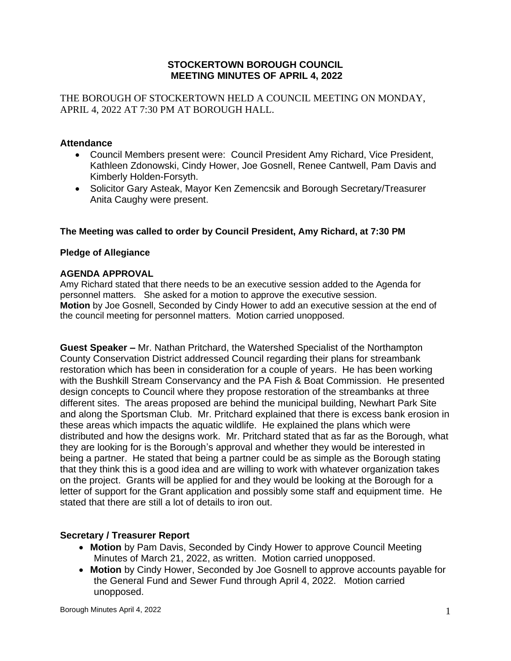## **STOCKERTOWN BOROUGH COUNCIL MEETING MINUTES OF APRIL 4, 2022**

THE BOROUGH OF STOCKERTOWN HELD A COUNCIL MEETING ON MONDAY, APRIL 4, 2022 AT 7:30 PM AT BOROUGH HALL.

## **Attendance**

- Council Members present were: Council President Amy Richard, Vice President, Kathleen Zdonowski, Cindy Hower, Joe Gosnell, Renee Cantwell, Pam Davis and Kimberly Holden-Forsyth.
- Solicitor Gary Asteak, Mayor Ken Zemencsik and Borough Secretary/Treasurer Anita Caughy were present.

### **The Meeting was called to order by Council President, Amy Richard, at 7:30 PM**

#### **Pledge of Allegiance**

#### **AGENDA APPROVAL**

Amy Richard stated that there needs to be an executive session added to the Agenda for personnel matters. She asked for a motion to approve the executive session. **Motion** by Joe Gosnell, Seconded by Cindy Hower to add an executive session at the end of the council meeting for personnel matters. Motion carried unopposed.

**Guest Speaker –** Mr. Nathan Pritchard, the Watershed Specialist of the Northampton County Conservation District addressed Council regarding their plans for streambank restoration which has been in consideration for a couple of years. He has been working with the Bushkill Stream Conservancy and the PA Fish & Boat Commission. He presented design concepts to Council where they propose restoration of the streambanks at three different sites. The areas proposed are behind the municipal building, Newhart Park Site and along the Sportsman Club. Mr. Pritchard explained that there is excess bank erosion in these areas which impacts the aquatic wildlife. He explained the plans which were distributed and how the designs work. Mr. Pritchard stated that as far as the Borough, what they are looking for is the Borough's approval and whether they would be interested in being a partner. He stated that being a partner could be as simple as the Borough stating that they think this is a good idea and are willing to work with whatever organization takes on the project. Grants will be applied for and they would be looking at the Borough for a letter of support for the Grant application and possibly some staff and equipment time. He stated that there are still a lot of details to iron out.

## **Secretary / Treasurer Report**

- **Motion** by Pam Davis, Seconded by Cindy Hower to approve Council Meeting Minutes of March 21, 2022, as written. Motion carried unopposed.
- **Motion** by Cindy Hower, Seconded by Joe Gosnell to approve accounts payable for the General Fund and Sewer Fund through April 4, 2022. Motion carried unopposed.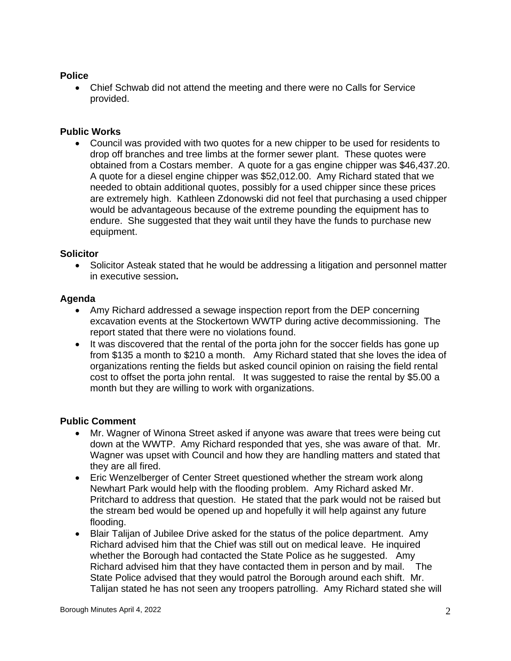# **Police**

• Chief Schwab did not attend the meeting and there were no Calls for Service provided.

# **Public Works**

• Council was provided with two quotes for a new chipper to be used for residents to drop off branches and tree limbs at the former sewer plant. These quotes were obtained from a Costars member. A quote for a gas engine chipper was \$46,437.20. A quote for a diesel engine chipper was \$52,012.00. Amy Richard stated that we needed to obtain additional quotes, possibly for a used chipper since these prices are extremely high. Kathleen Zdonowski did not feel that purchasing a used chipper would be advantageous because of the extreme pounding the equipment has to endure. She suggested that they wait until they have the funds to purchase new equipment.

## **Solicitor**

• Solicitor Asteak stated that he would be addressing a litigation and personnel matter in executive session**.**

# **Agenda**

- Amy Richard addressed a sewage inspection report from the DEP concerning excavation events at the Stockertown WWTP during active decommissioning. The report stated that there were no violations found.
- It was discovered that the rental of the porta john for the soccer fields has gone up from \$135 a month to \$210 a month. Amy Richard stated that she loves the idea of organizations renting the fields but asked council opinion on raising the field rental cost to offset the porta john rental. It was suggested to raise the rental by \$5.00 a month but they are willing to work with organizations.

## **Public Comment**

- Mr. Wagner of Winona Street asked if anyone was aware that trees were being cut down at the WWTP. Amy Richard responded that yes, she was aware of that. Mr. Wagner was upset with Council and how they are handling matters and stated that they are all fired.
- Eric Wenzelberger of Center Street questioned whether the stream work along Newhart Park would help with the flooding problem. Amy Richard asked Mr. Pritchard to address that question. He stated that the park would not be raised but the stream bed would be opened up and hopefully it will help against any future flooding.
- Blair Talijan of Jubilee Drive asked for the status of the police department. Amy Richard advised him that the Chief was still out on medical leave. He inquired whether the Borough had contacted the State Police as he suggested. Amy Richard advised him that they have contacted them in person and by mail. The State Police advised that they would patrol the Borough around each shift. Mr. Talijan stated he has not seen any troopers patrolling. Amy Richard stated she will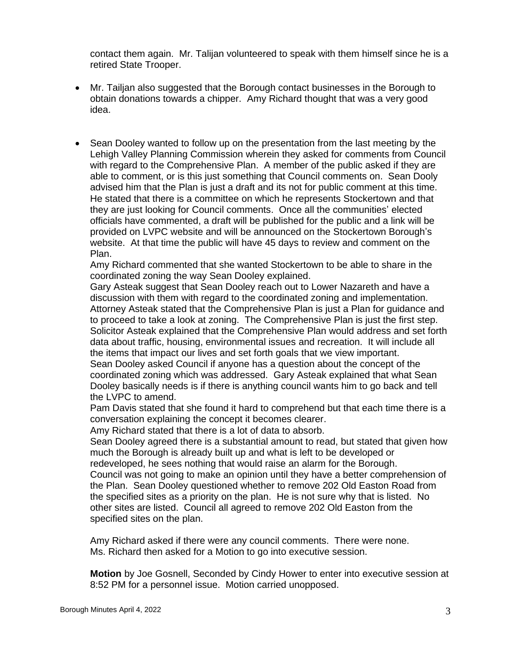contact them again. Mr. Talijan volunteered to speak with them himself since he is a retired State Trooper.

- Mr. Tailjan also suggested that the Borough contact businesses in the Borough to obtain donations towards a chipper. Amy Richard thought that was a very good idea.
- Sean Dooley wanted to follow up on the presentation from the last meeting by the Lehigh Valley Planning Commission wherein they asked for comments from Council with regard to the Comprehensive Plan. A member of the public asked if they are able to comment, or is this just something that Council comments on. Sean Dooly advised him that the Plan is just a draft and its not for public comment at this time. He stated that there is a committee on which he represents Stockertown and that they are just looking for Council comments. Once all the communities' elected officials have commented, a draft will be published for the public and a link will be provided on LVPC website and will be announced on the Stockertown Borough's website. At that time the public will have 45 days to review and comment on the Plan.

Amy Richard commented that she wanted Stockertown to be able to share in the coordinated zoning the way Sean Dooley explained.

Gary Asteak suggest that Sean Dooley reach out to Lower Nazareth and have a discussion with them with regard to the coordinated zoning and implementation. Attorney Asteak stated that the Comprehensive Plan is just a Plan for guidance and to proceed to take a look at zoning. The Comprehensive Plan is just the first step. Solicitor Asteak explained that the Comprehensive Plan would address and set forth data about traffic, housing, environmental issues and recreation. It will include all the items that impact our lives and set forth goals that we view important. Sean Dooley asked Council if anyone has a question about the concept of the coordinated zoning which was addressed. Gary Asteak explained that what Sean

Dooley basically needs is if there is anything council wants him to go back and tell the LVPC to amend.

Pam Davis stated that she found it hard to comprehend but that each time there is a conversation explaining the concept it becomes clearer.

Amy Richard stated that there is a lot of data to absorb.

Sean Dooley agreed there is a substantial amount to read, but stated that given how much the Borough is already built up and what is left to be developed or

redeveloped, he sees nothing that would raise an alarm for the Borough. Council was not going to make an opinion until they have a better comprehension of the Plan. Sean Dooley questioned whether to remove 202 Old Easton Road from the specified sites as a priority on the plan. He is not sure why that is listed. No other sites are listed. Council all agreed to remove 202 Old Easton from the specified sites on the plan.

Amy Richard asked if there were any council comments. There were none. Ms. Richard then asked for a Motion to go into executive session.

**Motion** by Joe Gosnell, Seconded by Cindy Hower to enter into executive session at 8:52 PM for a personnel issue. Motion carried unopposed.